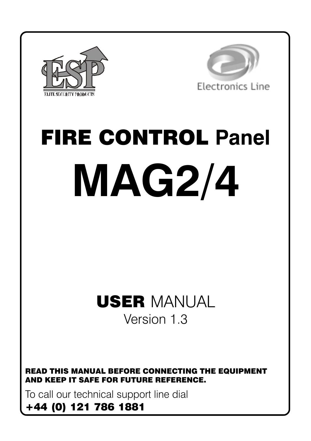



# **FIRE CONTROL Panel MAG2/4**

## **USER MANUAL** Version 1.3

**READ THIS MANUAL BEFORE CONNECTING THE EQUIPMENT** AND KEEP IT SAFE FOR FUTURE REFERENCE.

To call our technical support line dial

### +44 (0) 121 786 1881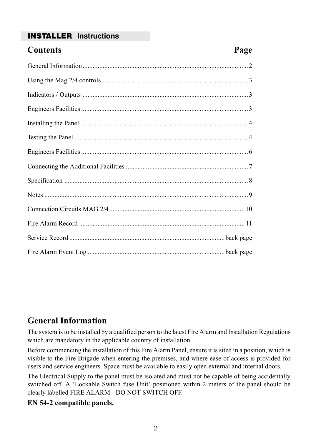#### **INSTALLER** Instructions

| <b>Contents</b> | Page |
|-----------------|------|
|                 |      |
|                 |      |
|                 |      |
|                 |      |
|                 |      |
|                 |      |
|                 |      |
|                 |      |
|                 |      |
|                 |      |
|                 |      |
|                 |      |
|                 |      |
|                 |      |

#### **General Information**

The system is to be installed by a qualified person to the latest Fire Alarm and Installation Regulations which are mandatory in the applicable country of installation.

Before commencing the installation of this Fire Alarm Panel, ensure it is sited in a position, which is visible to the Fire Brigade when entering the premises, and where ease of access is provided for users and service engineers. Space must be available to easily open external and internal doors.

The Electrical Supply to the panel must be isolated and must not be capable of being accidentally switched off. A 'Lockable Switch fuse Unit' positioned within 2 meters of the panel should be clearly labelled FIRE ALARM - DO NOT SWITCH OFF.

#### EN 54-2 compatible panels.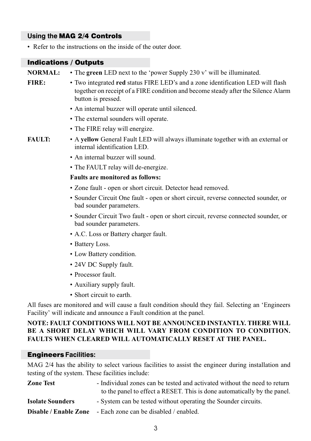#### Using the MAG 2/4 Controls

• Refer to the instructions on the inside of the outer door.

#### **Indications / Outputs**

| <b>NORMAL:</b> | • The green LED next to the 'power Supply 230 v' will be illuminated.                                                                                                                      |  |  |  |  |
|----------------|--------------------------------------------------------------------------------------------------------------------------------------------------------------------------------------------|--|--|--|--|
| FIRE:          | • Two integrated red status FIRE LED's and a zone identification LED will flash<br>together on receipt of a FIRE condition and become steady after the Silence Alarm<br>button is pressed. |  |  |  |  |
|                | • An internal buzzer will operate until silenced.                                                                                                                                          |  |  |  |  |
|                | • The external sounders will operate.                                                                                                                                                      |  |  |  |  |
|                | • The FIRE relay will energize.                                                                                                                                                            |  |  |  |  |
| <b>FAULT:</b>  | • A yellow General Fault LED will always illuminate together with an external or<br>internal identification LED.                                                                           |  |  |  |  |
|                | • An internal buzzer will sound.                                                                                                                                                           |  |  |  |  |
|                | • The FAULT relay will de-energize.                                                                                                                                                        |  |  |  |  |
|                | <b>Faults are monitored as follows:</b>                                                                                                                                                    |  |  |  |  |
|                | • Zone fault - open or short circuit. Detector head removed.                                                                                                                               |  |  |  |  |
|                | • Sounder Circuit One fault - open or short circuit, reverse connected sounder, or<br>bad sounder parameters.                                                                              |  |  |  |  |
|                | • Sounder Circuit Two fault - open or short circuit, reverse connected sounder, or<br>bad sounder parameters.                                                                              |  |  |  |  |
|                | • A.C. Loss or Battery charger fault.                                                                                                                                                      |  |  |  |  |
|                | • Battery Loss.                                                                                                                                                                            |  |  |  |  |
|                | • Low Battery condition.                                                                                                                                                                   |  |  |  |  |
|                | • 24V DC Supply fault.                                                                                                                                                                     |  |  |  |  |
|                | • Processor fault.                                                                                                                                                                         |  |  |  |  |
|                | • Auxiliary supply fault.                                                                                                                                                                  |  |  |  |  |

• Short circuit to earth.

All fuses are monitored and will cause a fault condition should they fail. Selecting an 'Engineers Facility' will indicate and announce a Fault condition at the panel.

#### NOTE: FAULT CONDITIONS WILL NOT BE ANNOUNCED INSTANTLY. THERE WILL BE A SHORT DELAY WHICH WILL VARY FROM CONDITION TO CONDITION. **FAULTS WHEN CLEARED WILL AUTOMATICALLY RESET AT THE PANEL.**

#### **Engineers Facilities:**

MAG 2/4 has the ability to select various facilities to assist the engineer during installation and testing of the system. These facilities include:

| <b>Zone Test</b>        | - Individual zones can be tested and activated without the need to return |
|-------------------------|---------------------------------------------------------------------------|
|                         | to the panel to effect a RESET. This is done automatically by the panel.  |
| <b>Isolate Sounders</b> | - System can be tested without operating the Sounder circuits.            |
|                         | <b>Disable / Enable Zone</b> - Each zone can be disabled / enabled.       |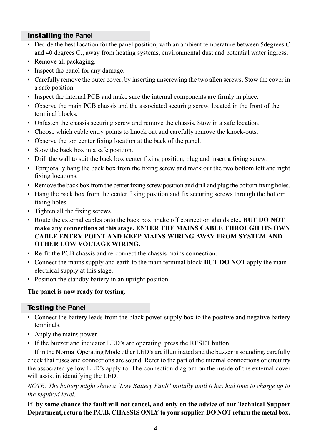#### **Installing the Panel**

- Decide the best location for the panel position, with an ambient temperature between 5 degrees C and 40 degrees C., away from heating systems, environmental dust and potential water ingress.
- Remove all packaging.
- Inspect the panel for any damage.
- Carefully remove the outer cover, by inserting unscrewing the two allen screws. Stow the cover in a safe position.
- Inspect the internal PCB and make sure the internal components are firmly in place.
- Observe the main PCB chassis and the associated securing screw, located in the front of the terminal blocks.
- Unfasten the chassis securing screw and remove the chassis. Stow in a safe location.
- Choose which cable entry points to knock out and carefully remove the knock-outs.
- Observe the top center fixing location at the back of the panel.
- Stow the back box in a safe position.
- Drill the wall to suit the back box center fixing position, plug and insert a fixing screw.
- Temporally hang the back box from the fixing screw and mark out the two bottom left and right fixing locations.
- Remove the back box from the center fixing screw position and drill and plug the bottom fixing holes.
- Hang the back box from the center fixing position and fix securing screws through the bottom fixing holes.
- Tighten all the fixing screws.
- Route the external cables onto the back box, make off connection glands etc., BUT DO NOT make any connections at this stage. ENTER THE MAINS CABLE THROUGH ITS OWN **CABLE ENTRY POINT AND KEEP MAINS WIRING AWAY FROM SYSTEM AND OTHER LOW VOLTAGE WIRING.**
- Re-fit the PCB chassis and re-connect the chassis mains connection.
- Connect the mains supply and earth to the main terminal block **BUT DO NOT** apply the main electrical supply at this stage.
- Position the standby battery in an upright position.

#### The panel is now ready for testing.

#### **Testing the Panel**

- Connect the battery leads from the black power supply box to the positive and negative battery terminals.
- Apply the mains power.
- If the buzzer and indicator LED's are operating, press the RESET button.

If in the Normal Operating Mode other LED's are illuminated and the buzzer is sounding, carefully check that fuses and connections are sound. Refer to the part of the internal connections or circuitry the associated yellow LED's apply to. The connection diagram on the inside of the external cover will assist in identifying the LED.

#### NOTE: The battery might show a 'Low Battery Fault' initially until it has had time to charge up to the required level.

#### If by some chance the fault will not cancel, and only on the advice of our Technical Support Department, return the P.C.B. CHASSIS ONLY to your supplier. DO NOT return the metal box.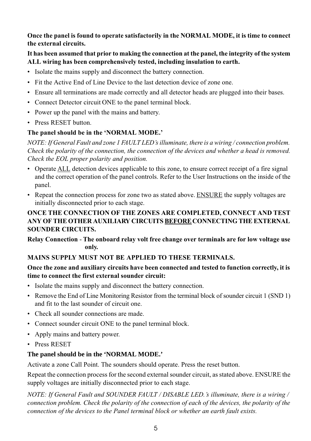#### Once the panel is found to operate satisfactorily in the NORMAL MODE, it is time to connect the external circuits.

#### It has been assumed that prior to making the connection at the panel, the integrity of the system ALL wiring has been comprehensively tested, including insulation to earth.

- Isolate the mains supply and disconnect the battery connection.
- Fit the Active End of Line Device to the last detection device of zone one.
- Ensure all terminations are made correctly and all detector heads are plugged into their bases.
- Connect Detector circuit ONE to the panel terminal block.
- Power up the panel with the mains and battery.
- Press RESET button.

#### The panel should be in the 'NORMAL MODE.'

NOTE: If General Fault and zone 1 FAULT LED's illuminate, there is a wiring/connection problem. Check the polarity of the connection, the connection of the devices and whether a head is removed. Check the EOL proper polarity and position.

- Operate ALL detection devices applicable to this zone, to ensure correct receipt of a fire signal and the correct operation of the panel controls. Refer to the User Instructions on the inside of the panel.
- Repeat the connection process for zone two as stated above. ENSURE the supply voltages are initially disconnected prior to each stage.

#### ONCE THE CONNECTION OF THE ZONES ARE COMPLETED, CONNECT AND TEST ANY OF THE OTHER AUXILIARY CIRCUITS BEFORE CONNECTING THE EXTERNAL **SOUNDER CIRCUITS.**

Relay Connection - The onboard relay volt free change over terminals are for low voltage use only.

#### MAINS SUPPLY MUST NOT BE APPLIED TO THESE TERMINALS.

#### Once the zone and auxiliary circuits have been connected and tested to function correctly, it is time to connect the first external sounder circuit:

- Isolate the mains supply and disconnect the battery connection.
- Remove the End of Line Monitoring Resistor from the terminal block of sounder circuit 1 (SND 1) and fit to the last sounder of circuit one.
- Check all sounder connections are made.
- Connect sounder circuit ONE to the panel terminal block.
- Apply mains and battery power.
- Press RESET

#### The panel should be in the 'NORMAL MODE.'

Activate a zone Call Point. The sounders should operate. Press the reset button.

Repeat the connection process for the second external sounder circuit, as stated above. ENSURE the supply voltages are initially disconnected prior to each stage.

NOTE: If General Fault and SOUNDER FAULT / DISABLE LED. 's illuminate, there is a wiring / connection problem. Check the polarity of the connection of each of the devices, the polarity of the connection of the devices to the Panel terminal block or whether an earth fault exists.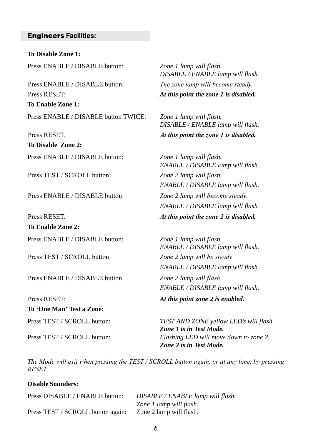#### **Engineers Facilities:**

**To Disable Zone 1:** Press ENABLE / DISABLE button: *Zone 1 lamp will flash.*

Press ENABLE / DISABLE butto Press RESET. **To Enable Zone 1:** Press ENABLE / DISABLE button TWICE: *Zone 1 lamp will flash.*

Press RESET. At **To Disable Zone 2:** Press ENABLE / DISABLE button: *Zone 1 lamp will flash.*

Press TEST / SCROLL butto

Press ENABLE / DISABLE butto

Press RESET:  $At$ **To Enable Zone 2:**

Press TEST / SCROLL butto

Press ENABLE / DISABLE butto

Press RESET<sup>.</sup> **To 'One Man' Test a Zone:**

*DISABLE / ENABLE lamp will flash.* n: The zone lamp will become steady. At this point the zone 1 is disabled.

> *DISABLE / ENABLE lamp will flash.* this point the zone 1 is disabled.

*ENABLE / DISABLE lamp will flash.* @ *Zone 2 lamp will flash. ENABLE / DISABLE lamp will flash.* n: *Zone 2 lamp will become steady. ENABLE / DISABLE lamp will flash.* this point the zone 2 is disabled.

Press ENABLE / DISABLE button: *Zone 1 lamp will flash. ENABLE / DISABLE lamp will flash.* n: *Zone 2 lamp will be steady. ENABLE / DISABLE lamp will flash.* n: *Zone 2 lamp will flash*. *ENABLE / DISABLE lamp will flash.*

At this point zone 2 is enabled.

Press TEST / SCROLL button: *TEST AND ZONE yellow LED's will flash. Zone 1 is in Test Mode.* Press TEST / SCROLL button: *Flashing LED will move down to zone 2. Zone 2 is in Test Mode.*

The Mode will exit when pressing the TEST / SCROLL button again, or at any time, by pressing  $RESET$ 

#### **Disable Sounders:**

Press DISABLE / ENABLE button: *DISABLE / ENABLE lamp will flash. Zone 1 lamp will flash.* Press TEST / SCROLL button again: Zone 2 lamp will flash.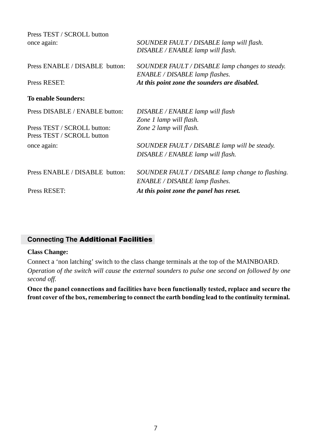| Press TEST / SCROLL button<br>once again: | SOUNDER FAULT / DISABLE lamp will flash.<br>DISABLE / ENABLE lamp will flash.     |
|-------------------------------------------|-----------------------------------------------------------------------------------|
| Press ENABLE / DISABLE button:            | SOUNDER FAULT / DISABLE lamp changes to steady.<br>ENABLE / DISABLE lamp flashes. |
| Press RESET:                              | At this point zone the sounders are disabled.                                     |
| <b>To enable Sounders:</b>                |                                                                                   |
| Press DISABLE / ENABLE button:            | DISABLE / ENABLE lamp will flash                                                  |
|                                           | Zone 1 lamp will flash.                                                           |
| Press TEST / SCROLL button:               | Zone 2 lamp will flash.                                                           |
| Press TEST / SCROLL button                |                                                                                   |
| once again:                               | SOUNDER FAULT / DISABLE lamp will be steady.                                      |
|                                           | DISABLE / ENABLE lamp will flash.                                                 |
| Press ENABLE / DISABLE button:            | SOUNDER FAULT / DISABLE lamp change to flashing.                                  |
|                                           | ENABLE / DISABLE lamp flashes.                                                    |
| Press RESET:                              | At this point zone the panel has reset.                                           |

#### **Connecting The Additional Facilities**

#### **Class Change:**

Connect a 'non latching' switch to the class change terminals at the top of the MAINBOARD.

*Operation of the switch will cause the external sounders to pulse one second on followed by one second off.*

Once the panel connections and facilities have been functionally tested, replace and secure the front cover of the box, remembering to connect the earth bonding lead to the continuity terminal.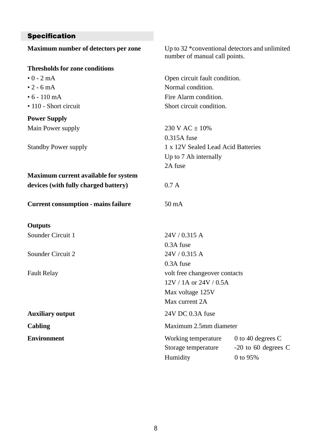#### **Specification**

| Maximum number of detectors per zone       | Up to 32 *conventional detectors and unlimited<br>number of manual call points. |                     |  |  |
|--------------------------------------------|---------------------------------------------------------------------------------|---------------------|--|--|
| <b>Thresholds for zone conditions</b>      |                                                                                 |                     |  |  |
| $\cdot$ 0 - 2 mA                           | Open circuit fault condition.                                                   |                     |  |  |
| $\cdot$ 2 - 6 mA                           | Normal condition.                                                               |                     |  |  |
| $\cdot$ 6 - 110 mA                         | Fire Alarm condition.                                                           |                     |  |  |
| • 110 - Short circuit                      | Short circuit condition.                                                        |                     |  |  |
| <b>Power Supply</b>                        |                                                                                 |                     |  |  |
| Main Power supply                          | 230 V AC $\pm$ 10%                                                              |                     |  |  |
|                                            | $0.315A$ fuse                                                                   |                     |  |  |
| Standby Power supply                       | 1 x 12V Sealed Lead Acid Batteries                                              |                     |  |  |
|                                            | Up to 7 Ah internally                                                           |                     |  |  |
|                                            | 2A fuse                                                                         |                     |  |  |
| Maximum current available for system       |                                                                                 |                     |  |  |
| devices (with fully charged battery)       | 0.7 A                                                                           |                     |  |  |
| <b>Current consumption - mains failure</b> | $50 \text{ mA}$                                                                 |                     |  |  |
| <b>Outputs</b>                             |                                                                                 |                     |  |  |
| Sounder Circuit 1                          | 24V / 0.315 A                                                                   |                     |  |  |
|                                            | $0.3A$ fuse                                                                     |                     |  |  |
| Sounder Circuit 2                          | 24V / 0.315 A                                                                   |                     |  |  |
|                                            | 0.3A fuse                                                                       |                     |  |  |
| <b>Fault Relay</b>                         | volt free changeover contacts                                                   |                     |  |  |
|                                            | $12V / 1A$ or $24V / 0.5A$                                                      |                     |  |  |
|                                            | Max voltage 125V                                                                |                     |  |  |
|                                            | Max current 2A                                                                  |                     |  |  |
| <b>Auxiliary output</b>                    | 24V DC 0.3A fuse                                                                |                     |  |  |
| Cabling                                    | Maximum 2.5mm diameter                                                          |                     |  |  |
| <b>Environment</b>                         | Working temperature                                                             | 0 to 40 degrees $C$ |  |  |
|                                            | Storage temperature                                                             | -20 to 60 degrees C |  |  |
|                                            | Humidity                                                                        | 0 to 95%            |  |  |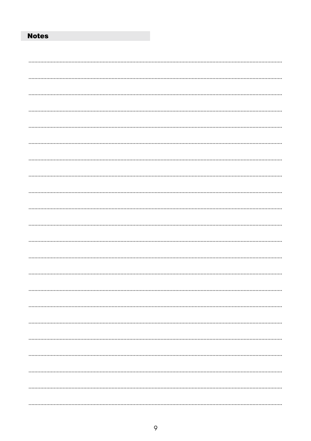#### **Notes**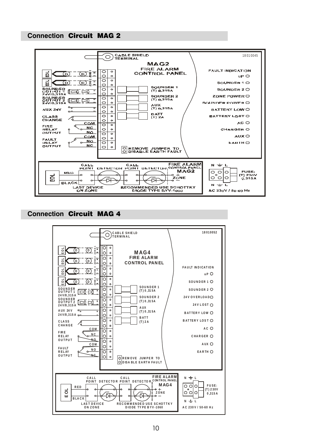#### **Connection Circuit MAG 2**



#### **Connection Circuit MAG 4**

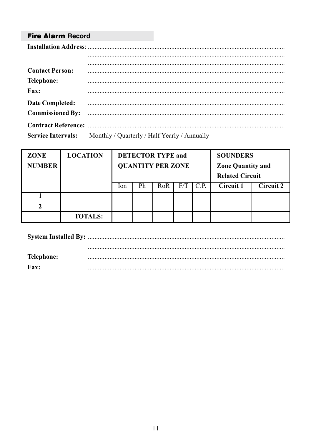#### **Fire Alarm Record**

| <b>Contact Person:</b>  |                                                                        |
|-------------------------|------------------------------------------------------------------------|
| Telephone:              |                                                                        |
| Fax:                    |                                                                        |
| Date Completed:         |                                                                        |
| <b>Commissioned By:</b> |                                                                        |
|                         |                                                                        |
|                         | <b>Service Intervals:</b> Monthly / Quarterly / Half Yearly / Annually |

| <b>ZONE</b><br><b>NUMBER</b> | <b>LOCATION</b> | <b>DETECTOR TYPE and</b><br><b>OUANTITY PER ZONE</b> |    |     |     | <b>SOUNDERS</b><br><b>Zone Quantity and</b><br><b>Related Circuit</b> |           |           |
|------------------------------|-----------------|------------------------------------------------------|----|-----|-----|-----------------------------------------------------------------------|-----------|-----------|
|                              |                 | lon                                                  | Ph | RoR | F/T | C.P.                                                                  | Circuit 1 | Circuit 2 |
|                              |                 |                                                      |    |     |     |                                                                       |           |           |
|                              |                 |                                                      |    |     |     |                                                                       |           |           |
|                              | <b>TOTALS:</b>  |                                                      |    |     |     |                                                                       |           |           |

| Telephone:  |  |
|-------------|--|
| <b>Fax:</b> |  |